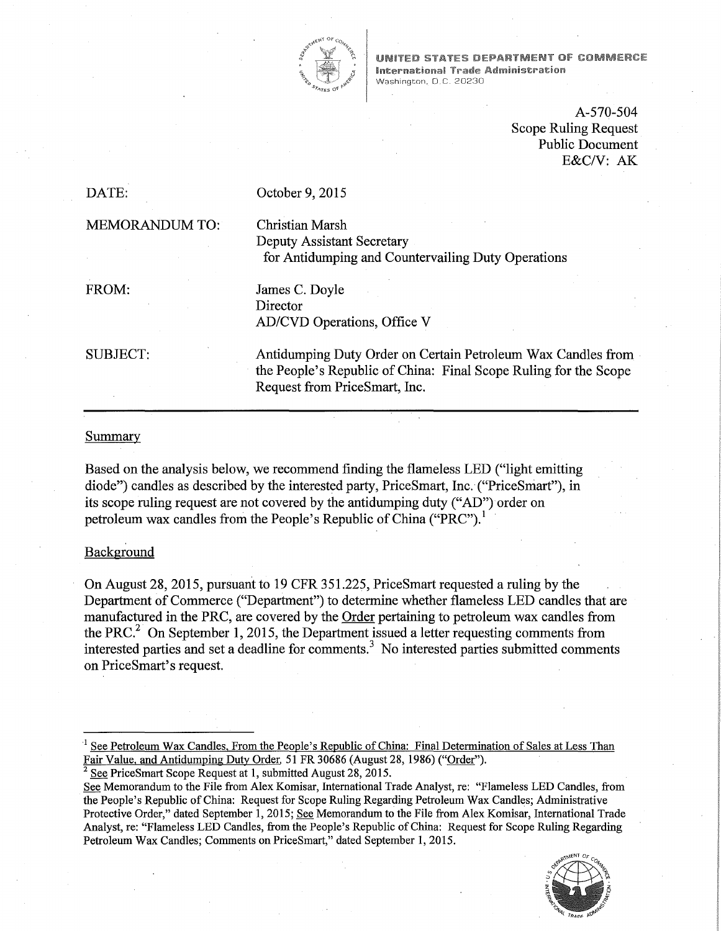

**UNITED STATES DEPARTMENT OF COMMERCE International Trade Administration** Washington, D.C. 20230

> A-570-504 Scope Ruling Request Public Document E&C/V: AK

DATE:

October 9, 2015

MEMORANDUM TO:

Christian Marsh Deputy Assistant Secretary for Antidumping and Countervailing Duty Operations

FROM:

James C. Doyle Director AD/CVD Operations, Office V

SUBJECT:

Antidumping Duty Order on Certain Petroleum Wax Candles from the People's Republic of China: Final Scope Ruling for the Scope Request from PriceSmart, Inc.

# Summary

Based on the analysis below, we recommend finding the flameless LED ("light emitting diode") candles as described by the interested party, PriceSmart, Inc. ("PriceSniart"), in its scope ruling request are not covered by the antidumping duty ("AD") order on petroleum wax candles from the People's Republic of China ("PRC").

### Background

On August 28, 2015, pursuant to 19 CFR 351.225, PriceSmart requested a ruling by the Department of Commerce ("Department") to determine whether flameless LED candles that are manufactured in the PRC, are covered by the Order pertaining to petroleum wax candles from the PRC.<sup>2</sup> On September 1, 2015, the Department issued a letter requesting comments from interested parties and set a deadline for comments.<sup>3</sup> No interested parties submitted comments on PriceSmart's request.

See Petroleum Wax Candles, From the People's Republic of China: Final Determination of Sales at Less Than Fair Value, and Antidumping Duty Order. 51 FR 30686 (August 28, 1986) ("Order").<br> $\frac{1}{2}$  See PriceSmart Scope Request at 1, submitted August 28, 2015.

See Memorandum to the File from Alex Komisar, International Trade Analyst, re: "Flameless LED Candles, from the People's Republic of China: Request for Scope Ruling Regarding Petroleum Wax Candles; Administrative Protective Order," dated September 1, 2015; See Memorandum to the File from Alex Komisar, International Trade Analyst, re: "Flameless LED Candles, from the People's Republic of China: Request for Scope Ruling Regarding Petroleum Wax Candles; Comments on PriceSmart," dated September 1, 2015.

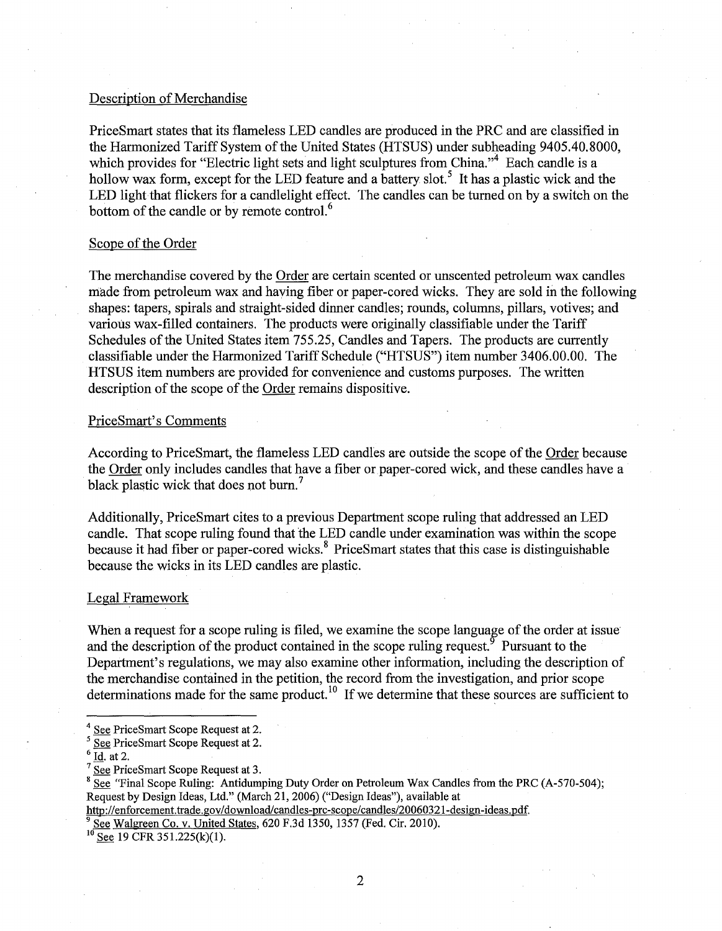### Description of Merchandise

PriceSmart states that its flameless LED candles are produced in the PRC and are classified in the Harmonized Tariff System of the United States (HTSUS) under subheading 9405.40.8000, which provides for "Electric light sets and light sculptures from China."<sup>4</sup> Each candle is a hollow wax form, except for the LED feature and a battery slot.<sup>5</sup> It has a plastic wick and the LED light that flickers for a candlelight effect. The candles can be turned on by a switch on the bottom of the candle or by remote control.<sup>6</sup>

#### Scope of the Order

The merchandise covered by the Order are certain scented or unscented petroleum wax candles made from petroleum wax and having fiber or paper-cored wicks. They are sold in the following shapes: tapers, spirals and straight-sided dinner candles; rounds, columns, pillars, votives; and various wax-filled containers. The products were originally classifiable under the Tariff Schedules of the United States item 755.25, Candles and Tapers. The products are currently classifiable under the Harmonized Tariff Schedule ("HTSUS") item number 3406.00.00. The HTSUS item numbers are provided for convenience and customs purposes. The written description of the scope of the Order remains dispositive.

#### PriceSmart's Comments

According to Price Smart, the flame less LED candles are outside the scope of the Order because the Order only includes candles that have a fiber or paper-cored wick, and these candles have a black plastic wick that does not burn.<sup>7</sup>

Additionally, PriceSmart cites to a previous Department scope ruling that addressed an LED candle. That scope ruling found that the LED candle under examination was within the scope because it had fiber or paper-cored wicks.<sup>8</sup> Price Smart states that this case is distinguishable because the wicks in its LED candles are plastic.

# Legal Framework

When a request for a scope ruling is filed, we examine the scope language of the order at issue and the description of the product contained in the scope ruling request.  $\delta$  Pursuant to the Department's regulations, we may also examine other information, including the description of the merchandise contained in the petition, the record from the investigation, and prior scope determinations made for the same product.<sup>10</sup> If we determine that these sources are sufficient to

<sup>&</sup>lt;sup>4</sup> See PriceSmart Scope Request at 2.<br>
<sup>5</sup> See PriceSmart Scope Request at 2.<br>
<sup>6</sup> <u>Id</u>. at 2.<br>
<sup>7</sup> See PriceSmart Scope Request at 3.<br>
<sup>8</sup> See "Final Scope Ruling: Antidumping Duty Order on Petroleum Wax Candles from th Request by Design Ideas, Ltd." (March 21, 2006) ("Design Ideas"), available at

http://enforcement.trade.gov/download/candles-prc-scope/candles/20060321-design-ideas.pdf.

 $\frac{9}{10}$  See Walgreen Co. v. United States, 620 F.3d 1350, 1357 (Fed. Cir. 2010).<br><sup>10</sup> See 19 CFR 351.225(k)(1).